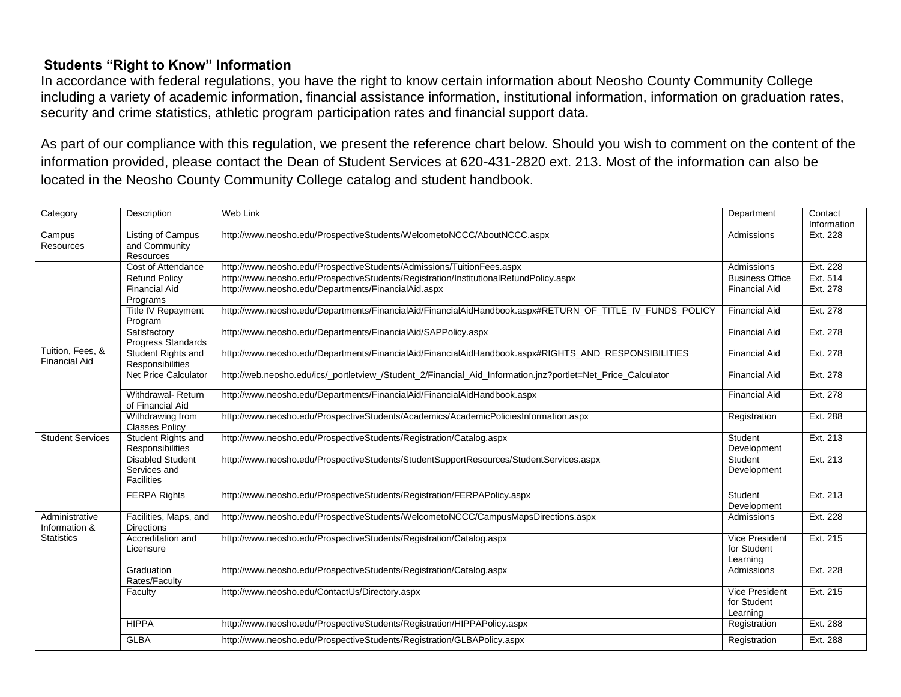## **Students "Right to Know" Information**

In accordance with federal regulations, you have the right to know certain information about Neosho County Community College including a variety of academic information, financial assistance information, institutional information, information on graduation rates, security and crime statistics, athletic program participation rates and financial support data.

As part of our compliance with this regulation, we present the reference chart below. Should you wish to comment on the content of the information provided, please contact the Dean of Student Services at 620-431-2820 ext. 213. Most of the information can also be located in the Neosho County Community College catalog and student handbook.

| Category                                             | Description                                                  | Web Link                                                                                                     | Department                                | Contact<br>Information |
|------------------------------------------------------|--------------------------------------------------------------|--------------------------------------------------------------------------------------------------------------|-------------------------------------------|------------------------|
| Campus<br>Resources                                  | Listing of Campus<br>and Community<br><b>Resources</b>       | http://www.neosho.edu/ProspectiveStudents/WelcometoNCCC/AboutNCCC.aspx                                       | Admissions                                | Ext. 228               |
|                                                      | Cost of Attendance                                           | http://www.neosho.edu/ProspectiveStudents/Admissions/TuitionFees.aspx                                        | Admissions                                | Ext. 228               |
| Tuition, Fees, &<br><b>Financial Aid</b>             | <b>Refund Policy</b>                                         | http://www.neosho.edu/ProspectiveStudents/Registration/InstitutionalRefundPolicy.aspx                        | <b>Business Office</b>                    | Ext. 514               |
|                                                      | <b>Financial Aid</b><br>Programs                             | http://www.neosho.edu/Departments/FinancialAid.aspx                                                          | <b>Financial Aid</b>                      | Ext. 278               |
|                                                      | Title IV Repayment<br>Program                                | http://www.neosho.edu/Departments/FinancialAid/FinancialAidHandbook.aspx#RETURN_OF_TITLE_IV_FUNDS_POLICY     | <b>Financial Aid</b>                      | Ext. 278               |
|                                                      | Satisfactory<br><b>Progress Standards</b>                    | http://www.neosho.edu/Departments/FinancialAid/SAPPolicy.aspx                                                | <b>Financial Aid</b>                      | Ext. 278               |
|                                                      | Student Rights and<br>Responsibilities                       | http://www.neosho.edu/Departments/FinancialAid/FinancialAidHandbook.aspx#RIGHTS_AND_RESPONSIBILITIES         | <b>Financial Aid</b>                      | Ext. 278               |
|                                                      | Net Price Calculator                                         | http://web.neosho.edu/ics/_portletview_/Student_2/Financial_Aid_Information.jnz?portlet=Net_Price_Calculator | <b>Financial Aid</b>                      | Ext. 278               |
|                                                      | Withdrawal-Return<br>of Financial Aid                        | http://www.neosho.edu/Departments/FinancialAid/FinancialAidHandbook.aspx                                     | <b>Financial Aid</b>                      | Ext. 278               |
|                                                      | Withdrawing from<br><b>Classes Policy</b>                    | http://www.neosho.edu/ProspectiveStudents/Academics/AcademicPoliciesInformation.aspx                         | Registration                              | Ext. 288               |
| <b>Student Services</b>                              | <b>Student Rights and</b><br>Responsibilities                | http://www.neosho.edu/ProspectiveStudents/Registration/Catalog.aspx                                          | Student<br>Development                    | Ext. 213               |
|                                                      | <b>Disabled Student</b><br>Services and<br><b>Facilities</b> | http://www.neosho.edu/ProspectiveStudents/StudentSupportResources/StudentServices.aspx                       | Student<br>Development                    | Ext. 213               |
|                                                      | <b>FERPA Rights</b>                                          | http://www.neosho.edu/ProspectiveStudents/Registration/FERPAPolicy.aspx                                      | Student<br>Development                    | Ext. 213               |
| Administrative<br>Information &<br><b>Statistics</b> | Facilities, Maps, and<br><b>Directions</b>                   | http://www.neosho.edu/ProspectiveStudents/WelcometoNCCC/CampusMapsDirections.aspx                            | Admissions                                | Ext. 228               |
|                                                      | Accreditation and<br>Licensure                               | http://www.neosho.edu/ProspectiveStudents/Registration/Catalog.aspx                                          | Vice President<br>for Student<br>Learning | Ext. 215               |
|                                                      | Graduation<br>Rates/Faculty                                  | http://www.neosho.edu/ProspectiveStudents/Registration/Catalog.aspx                                          | Admissions                                | Ext. 228               |
|                                                      | Faculty                                                      | http://www.neosho.edu/ContactUs/Directory.aspx                                                               | Vice President<br>for Student<br>Learning | Ext. 215               |
|                                                      | <b>HIPPA</b>                                                 | http://www.neosho.edu/ProspectiveStudents/Registration/HIPPAPolicy.aspx                                      | Registration                              | Ext. 288               |
|                                                      | <b>GLBA</b>                                                  | http://www.neosho.edu/ProspectiveStudents/Registration/GLBAPolicy.aspx                                       | Registration                              | Ext. 288               |